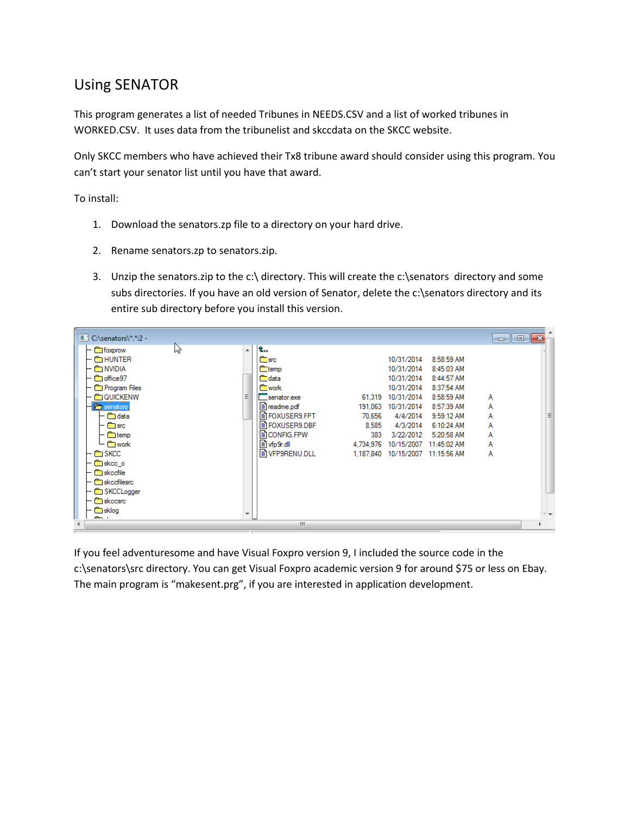## Using SENATOR

This program generates a list of needed Tribunes in NEEDS.CSV and a list of worked tribunes in WORKED.CSV. It uses data from the tribunelist and skccdata on the SKCC website.

Only SKCC members who have achieved their Tx8 tribune award should consider using this program. You can't start your senator list until you have that award.

To install:

- 1. Download the senators.zp file to a directory on your hard drive.
- 2. Rename senators.zp to senators.zip.
- 3. Unzip the senators.zip to the c:\ directory. This will create the c:\senators directory and some subs directories. If you have an old version of Senator, delete the c:\senators directory and its entire sub directory before you install this version.

| $\blacksquare$ C:\senators\*.*:2 - |    |                       |           |            |              | $\begin{array}{c c c c c c} \hline \multicolumn{3}{c }{\mathbf{C}} & \multicolumn{3}{c }{\mathbf{C}} & \multicolumn{3}{c }{\mathbf{R}} \end{array}$ |   |
|------------------------------------|----|-----------------------|-----------|------------|--------------|-----------------------------------------------------------------------------------------------------------------------------------------------------|---|
| hy<br><b>Elle</b> foxprow          | A. | L.,                   |           |            |              |                                                                                                                                                     |   |
| $\vdash \blacksquare$ hunter       |    | <b>estra</b> sinc     |           | 10/31/2014 | 8:58:59 AM   |                                                                                                                                                     |   |
| — <b>Er</b> NVIDIA                 |    | <b>estemp</b>         |           | 10/31/2014 | 8:45:03 AM   |                                                                                                                                                     |   |
| <b>Em</b> office97                 |    | <b>eta</b> data       |           | 10/31/2014 | 8:44:57 AM   |                                                                                                                                                     |   |
| <b>Report Files</b>                |    | <b>Reserved</b>       |           | 10/31/2014 | 8:37:54 AM   |                                                                                                                                                     |   |
| <b>EM QUICKENW</b>                 | 티  | $\Box$ senator.exe    | 61.319    | 10/31/2014 | 8:58:59 AM   | А                                                                                                                                                   |   |
| senators                           |    | $\equiv$ readme.pdf   | 191,063   | 10/31/2014 | 8:57:39 AM   | A                                                                                                                                                   |   |
|                                    |    |                       |           |            |              |                                                                                                                                                     |   |
| <b>ind</b> data                    |    | B FOXUSER9.FPT        | 70.656    | 4/4/2014   | $9:59:12$ AM | А                                                                                                                                                   | Ξ |
| <b>Research</b> since              |    | <b>E FOXUSER9.DBF</b> | 8.585     | 4/3/2014   | 6:10:24 AM   | А                                                                                                                                                   |   |
| — ©ontemp                          |    | <b>EICONFIG.FPW</b>   | 383       | 3/22/2012  | 5:20:58 AM   | А                                                                                                                                                   |   |
| └ ‱  └                             |    | ■ vfp9r.dll           | 4,734,976 | 10/15/2007 | 11:45:02 AM  | А                                                                                                                                                   |   |
| <b>E</b> SKCC                      |    | B VFP9RENU.DLL        | 1.187.840 | 10/15/2007 | 11:15:56 AM  | А                                                                                                                                                   |   |
| <b>E</b> skee o                    |    |                       |           |            |              |                                                                                                                                                     |   |
| <b>Considered</b> skeedile         |    |                       |           |            |              |                                                                                                                                                     |   |
| <b>skeefilesre</b>                 |    |                       |           |            |              |                                                                                                                                                     |   |
|                                    |    |                       |           |            |              |                                                                                                                                                     |   |
| SKCCLogger                         |    |                       |           |            |              |                                                                                                                                                     |   |
| <b>Skeepre</b>                     |    |                       |           |            |              |                                                                                                                                                     |   |
| <b>E</b> sklog                     | ┯  |                       |           |            |              |                                                                                                                                                     |   |
| <b>Contract of</b>                 |    |                       |           |            |              |                                                                                                                                                     |   |
|                                    |    | m.                    |           |            |              |                                                                                                                                                     |   |

If you feel adventuresome and have Visual Foxpro version 9, I included the source code in the c:\senators\src directory. You can get Visual Foxpro academic version 9 for around \$75 or less on Ebay. The main program is "makesent.prg", if you are interested in application development.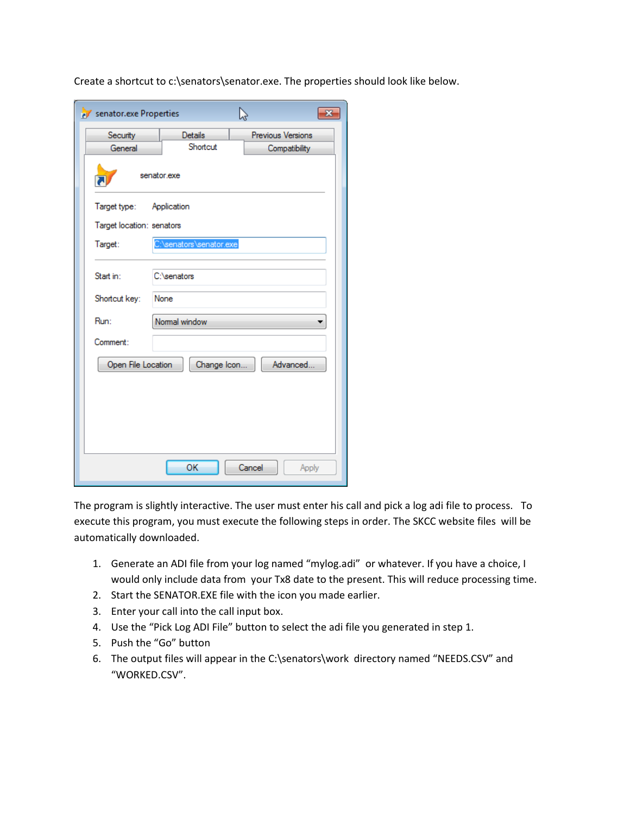| Create a shortcut to c:\senators\senator.exe. The properties should look like below. |  |
|--------------------------------------------------------------------------------------|--|
|--------------------------------------------------------------------------------------|--|

| senator.exe Properties     |                                  | р<br>x            |  |  |  |  |  |
|----------------------------|----------------------------------|-------------------|--|--|--|--|--|
| Security                   | Details                          | Previous Versions |  |  |  |  |  |
| General                    | Shortcut<br><b>Compatibility</b> |                   |  |  |  |  |  |
| senator.exe                |                                  |                   |  |  |  |  |  |
| Target type:               | Application                      |                   |  |  |  |  |  |
| Target location: senators  |                                  |                   |  |  |  |  |  |
| Target:                    | senators \senator.exe            |                   |  |  |  |  |  |
| Start in:<br>Shortcut key: | C:\senators<br>None              |                   |  |  |  |  |  |
| Run:                       | Normal window                    |                   |  |  |  |  |  |
| Comment:                   |                                  |                   |  |  |  |  |  |
| Open File Location         | Change Icon                      | Advanced          |  |  |  |  |  |
|                            |                                  |                   |  |  |  |  |  |
|                            | OK                               | Cancel<br>Apply   |  |  |  |  |  |

The program is slightly interactive. The user must enter his call and pick a log adi file to process. To execute this program, you must execute the following steps in order. The SKCC website files will be automatically downloaded.

- 1. Generate an ADI file from your log named "mylog.adi" or whatever. If you have a choice, I would only include data from your Tx8 date to the present. This will reduce processing time.
- 2. Start the SENATOR.EXE file with the icon you made earlier.
- 3. Enter your call into the call input box.
- 4. Use the "Pick Log ADI File" button to select the adi file you generated in step 1.
- 5. Push the "Go" button
- 6. The output files will appear in the C:\senators\work directory named "NEEDS.CSV" and "WORKED.CSV".